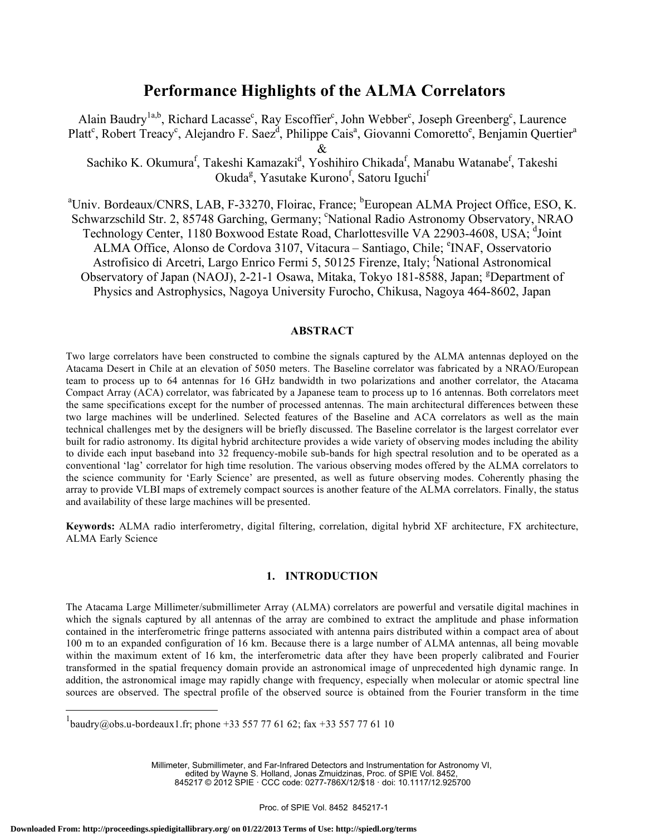# **Performance Highlights of the ALMA Correlators**

Alain Baudry<sup>1a,b</sup>, Richard Lacasse<sup>c</sup>, Ray Escoffier<sup>c</sup>, John Webber<sup>c</sup>, Joseph Greenberg<sup>c</sup>, Laurence Platt<sup>c</sup>, Robert Treacy<sup>c</sup>, Alejandro F. Saez<sup>d</sup>, Philippe Cais<sup>a</sup>, Giovanni Comoretto<sup>e</sup>, Benjamin Quertier<sup>a</sup> & Sachiko K. Okumura<sup>f</sup>, Takeshi Kamazaki<sup>d</sup>, Yoshihiro Chikada<sup>f</sup>, Manabu Watanabe<sup>f</sup>, Takeshi

Okuda<sup>g</sup>, Yasutake Kurono<sup>f</sup>, Satoru Iguchi<sup>f</sup>

<sup>a</sup>Univ. Bordeaux/CNRS, LAB, F-33270, Floirac, France; <sup>b</sup>European ALMA Project Office, ESO, K. Schwarzschild Str. 2, 85748 Garching, Germany; 'National Radio Astronomy Observatory, NRAO Technology Center, 1180 Boxwood Estate Road, Charlottesville VA 22903-4608, USA; dJoint ALMA Office, Alonso de Cordova 3107, Vitacura - Santiago, Chile; <sup>e</sup>INAF, Osservatorio Astrofisico di Arcetri, Largo Enrico Fermi 5, 50125 Firenze, Italy; f National Astronomical Observatory of Japan (NAOJ), 2-21-1 Osawa, Mitaka, Tokyo 181-8588, Japan; <sup>g</sup>Department of Physics and Astrophysics, Nagoya University Furocho, Chikusa, Nagoya 464-8602, Japan

# **ABSTRACT**

Two large correlators have been constructed to combine the signals captured by the ALMA antennas deployed on the Atacama Desert in Chile at an elevation of 5050 meters. The Baseline correlator was fabricated by a NRAO/European team to process up to 64 antennas for 16 GHz bandwidth in two polarizations and another correlator, the Atacama Compact Array (ACA) correlator, was fabricated by a Japanese team to process up to 16 antennas. Both correlators meet the same specifications except for the number of processed antennas. The main architectural differences between these two large machines will be underlined. Selected features of the Baseline and ACA correlators as well as the main technical challenges met by the designers will be briefly discussed. The Baseline correlator is the largest correlator ever built for radio astronomy. Its digital hybrid architecture provides a wide variety of observing modes including the ability to divide each input baseband into 32 frequency-mobile sub-bands for high spectral resolution and to be operated as a conventional 'lag' correlator for high time resolution. The various observing modes offered by the ALMA correlators to the science community for 'Early Science' are presented, as well as future observing modes. Coherently phasing the array to provide VLBI maps of extremely compact sources is another feature of the ALMA correlators. Finally, the status and availability of these large machines will be presented.

**Keywords:** ALMA radio interferometry, digital filtering, correlation, digital hybrid XF architecture, FX architecture, ALMA Early Science

# **1. INTRODUCTION**

The Atacama Large Millimeter/submillimeter Array (ALMA) correlators are powerful and versatile digital machines in which the signals captured by all antennas of the array are combined to extract the amplitude and phase information contained in the interferometric fringe patterns associated with antenna pairs distributed within a compact area of about 100 m to an expanded configuration of 16 km. Because there is a large number of ALMA antennas, all being movable within the maximum extent of 16 km, the interferometric data after they have been properly calibrated and Fourier transformed in the spatial frequency domain provide an astronomical image of unprecedented high dynamic range. In addition, the astronomical image may rapidly change with frequency, especially when molecular or atomic spectral line sources are observed. The spectral profile of the observed source is obtained from the Fourier transform in the time

Millimeter, Submillimeter, and Far-Infrared Detectors and Instrumentation for Astronomy VI, edited by Wayne S. Holland, Jonas Zmuidzinas, Proc. of SPIE Vol. 8452, 845217 © 2012 SPIE · CCC code: 0277-786X/12/\$18 · doi: 10.1117/12.925700

<sup>1&</sup>lt;br>
baudry@obs.u-bordeaux1.fr; phone +33 557 77 61 62; fax +33 557 77 61 10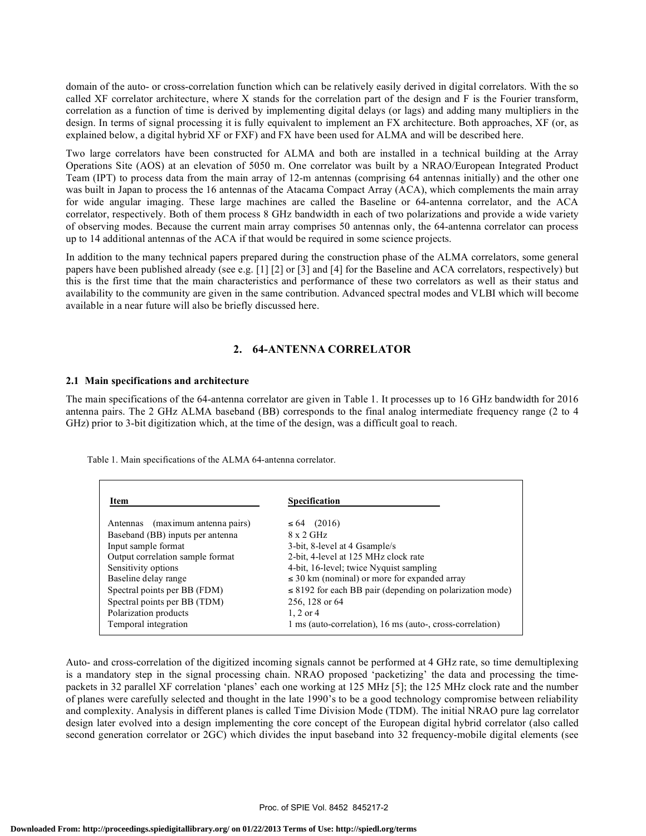domain of the auto- or cross-correlation function which can be relatively easily derived in digital correlators. With the so called XF correlator architecture, where X stands for the correlation part of the design and F is the Fourier transform, correlation as a function of time is derived by implementing digital delays (or lags) and adding many multipliers in the design. In terms of signal processing it is fully equivalent to implement an FX architecture. Both approaches, XF (or, as explained below, a digital hybrid XF or FXF) and FX have been used for ALMA and will be described here.

Two large correlators have been constructed for ALMA and both are installed in a technical building at the Array Operations Site (AOS) at an elevation of 5050 m. One correlator was built by a NRAO/European Integrated Product Team (IPT) to process data from the main array of 12-m antennas (comprising 64 antennas initially) and the other one was built in Japan to process the 16 antennas of the Atacama Compact Array (ACA), which complements the main array for wide angular imaging. These large machines are called the Baseline or 64-antenna correlator, and the ACA correlator, respectively. Both of them process 8 GHz bandwidth in each of two polarizations and provide a wide variety of observing modes. Because the current main array comprises 50 antennas only, the 64-antenna correlator can process up to 14 additional antennas of the ACA if that would be required in some science projects.

In addition to the many technical papers prepared during the construction phase of the ALMA correlators, some general papers have been published already (see e.g. [1] [2] or [3] and [4] for the Baseline and ACA correlators, respectively) but this is the first time that the main characteristics and performance of these two correlators as well as their status and availability to the community are given in the same contribution. Advanced spectral modes and VLBI which will become available in a near future will also be briefly discussed here.

# **2. 64-ANTENNA CORRELATOR**

#### **2.1 Main specifications and architecture**

The main specifications of the 64-antenna correlator are given in Table 1. It processes up to 16 GHz bandwidth for 2016 antenna pairs. The 2 GHz ALMA baseband (BB) corresponds to the final analog intermediate frequency range (2 to 4 GHz) prior to 3-bit digitization which, at the time of the design, was a difficult goal to reach.

Table 1. Main specifications of the ALMA 64-antenna correlator.

| Item                                | <b>Specification</b>                                          |
|-------------------------------------|---------------------------------------------------------------|
| (maximum antenna pairs)<br>Antennas | (2016)<br>$\leq 64$                                           |
| Baseband (BB) inputs per antenna    | $8 \times 2$ GHz                                              |
| Input sample format                 | 3-bit, 8-level at 4 Gsample/s                                 |
| Output correlation sample format    | 2-bit, 4-level at 125 MHz clock rate                          |
| Sensitivity options                 | 4-bit, 16-level; twice Nyquist sampling                       |
| Baseline delay range                | $\leq$ 30 km (nominal) or more for expanded array             |
| Spectral points per BB (FDM)        | $\leq$ 8192 for each BB pair (depending on polarization mode) |
| Spectral points per BB (TDM)        | 256, 128 or 64                                                |
| Polarization products               | $1, 2$ or $4$                                                 |
| Temporal integration                | 1 ms (auto-correlation), 16 ms (auto-, cross-correlation)     |

Auto- and cross-correlation of the digitized incoming signals cannot be performed at 4 GHz rate, so time demultiplexing is a mandatory step in the signal processing chain. NRAO proposed 'packetizing' the data and processing the timepackets in 32 parallel XF correlation 'planes' each one working at 125 MHz [5]; the 125 MHz clock rate and the number of planes were carefully selected and thought in the late 1990's to be a good technology compromise between reliability and complexity. Analysis in different planes is called Time Division Mode (TDM). The initial NRAO pure lag correlator design later evolved into a design implementing the core concept of the European digital hybrid correlator (also called second generation correlator or 2GC) which divides the input baseband into 32 frequency-mobile digital elements (see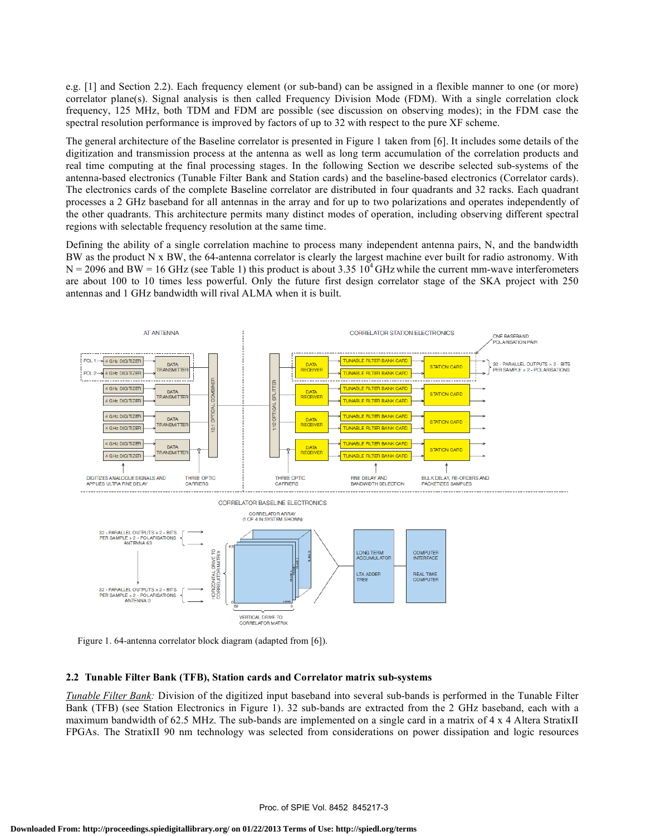e.g. [1] and Section 2.2). Each frequency element (or sub-band) can be assigned in a flexible manner to one (or more) correlator plane(s). Signal analysis is then called Frequency Division Mode (FDM). With a single correlation clock frequency, 125 MHz, both TDM and FDM are possible (see discussion on observing modes); in the FDM case the spectral resolution performance is improved by factors of up to 32 with respect to the pure XF scheme.

The general architecture of the Baseline correlator is presented in Figure 1 taken from [6]. It includes some details of the digitization and transmission process at the antenna as well as long term accumulation of the correlation products and real time computing at the final processing stages. In the following Section we describe selected sub-systems of the antenna-based electronics (Tunable Filter Bank and Station cards) and the baseline-based electronics (Correlator cards). The electronics cards of the complete Baseline correlator are distributed in four quadrants and 32 racks. Each quadrant processes a 2 GHz baseband for all antennas in the array and for up to two polarizations and operates independently of the other quadrants. This architecture permits many distinct modes of operation, including observing different spectral regions with selectable frequency resolution at the same time.

Defining the ability of a single correlation machine to process many independent antenna pairs, N, and the bandwidth BW as the product N x BW, the 64-antenna correlator is clearly the largest machine ever built for radio astronomy. With  $N = 2096$  and BW = 16 GHz (see Table 1) this product is about 3.35  $10^4$  GHz while the current mm-wave interferometers are about 100 to 10 times less powerful. Only the future first design correlator stage of the SKA project with 250 antennas and 1 GHz bandwidth will rival ALMA when it is built.





#### **2.2 Tunable Filter Bank (TFB), Station cards and Correlator matrix sub-systems**

*Tunable Filter Bank:* Division of the digitized input baseband into several sub-bands is performed in the Tunable Filter Bank (TFB) (see Station Electronics in Figure 1). 32 sub-bands are extracted from the 2 GHz baseband, each with a maximum bandwidth of 62.5 MHz. The sub-bands are implemented on a single card in a matrix of 4 x 4 Altera StratixII FPGAs. The StratixII 90 nm technology was selected from considerations on power dissipation and logic resources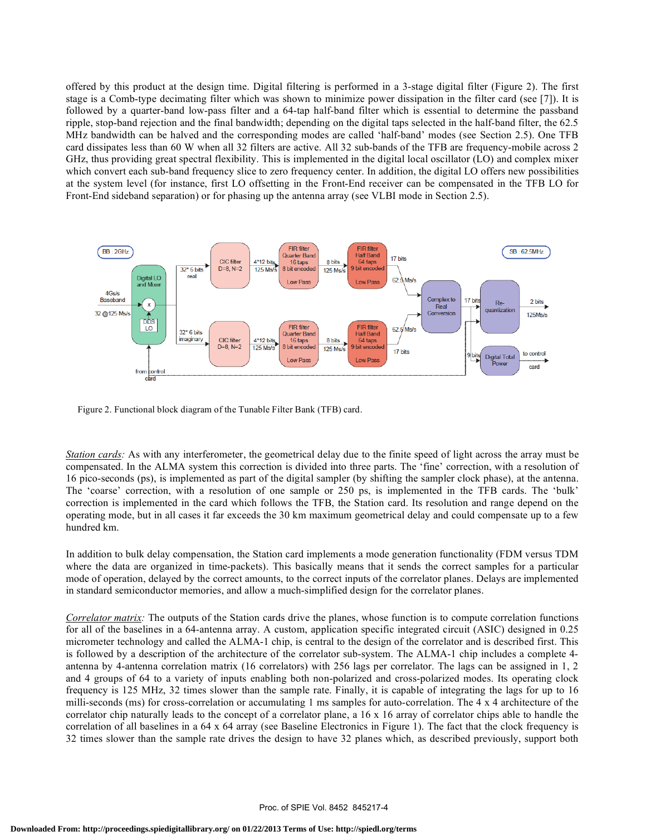offered by this product at the design time. Digital filtering is performed in a 3-stage digital filter (Figure 2). The first stage is a Comb-type decimating filter which was shown to minimize power dissipation in the filter card (see [7]). It is followed by a quarter-band low-pass filter and a 64-tap half-band filter which is essential to determine the passband ripple, stop-band rejection and the final bandwidth; depending on the digital taps selected in the half-band filter, the 62.5 MHz bandwidth can be halved and the corresponding modes are called 'half-band' modes (see Section 2.5). One TFB card dissipates less than 60 W when all 32 filters are active. All 32 sub-bands of the TFB are frequency-mobile across 2 GHz, thus providing great spectral flexibility. This is implemented in the digital local oscillator (LO) and complex mixer which convert each sub-band frequency slice to zero frequency center. In addition, the digital LO offers new possibilities at the system level (for instance, first LO offsetting in the Front-End receiver can be compensated in the TFB LO for Front-End sideband separation) or for phasing up the antenna array (see VLBI mode in Section 2.5).



Figure 2. Functional block diagram of the Tunable Filter Bank (TFB) card.

*Station cards:* As with any interferometer, the geometrical delay due to the finite speed of light across the array must be compensated. In the ALMA system this correction is divided into three parts. The 'fine' correction, with a resolution of 16 pico-seconds (ps), is implemented as part of the digital sampler (by shifting the sampler clock phase), at the antenna. The 'coarse' correction, with a resolution of one sample or 250 ps, is implemented in the TFB cards. The 'bulk' correction is implemented in the card which follows the TFB, the Station card. Its resolution and range depend on the operating mode, but in all cases it far exceeds the 30 km maximum geometrical delay and could compensate up to a few hundred km.

In addition to bulk delay compensation, the Station card implements a mode generation functionality (FDM versus TDM where the data are organized in time-packets). This basically means that it sends the correct samples for a particular mode of operation, delayed by the correct amounts, to the correct inputs of the correlator planes. Delays are implemented in standard semiconductor memories, and allow a much-simplified design for the correlator planes.

*Correlator matrix:* The outputs of the Station cards drive the planes, whose function is to compute correlation functions for all of the baselines in a 64-antenna array. A custom, application specific integrated circuit (ASIC) designed in 0.25 micrometer technology and called the ALMA-1 chip, is central to the design of the correlator and is described first. This is followed by a description of the architecture of the correlator sub-system. The ALMA-1 chip includes a complete 4 antenna by 4-antenna correlation matrix (16 correlators) with 256 lags per correlator. The lags can be assigned in 1, 2 and 4 groups of 64 to a variety of inputs enabling both non-polarized and cross-polarized modes. Its operating clock frequency is 125 MHz, 32 times slower than the sample rate. Finally, it is capable of integrating the lags for up to 16 milli-seconds (ms) for cross-correlation or accumulating 1 ms samples for auto-correlation. The 4 x 4 architecture of the correlator chip naturally leads to the concept of a correlator plane, a 16 x 16 array of correlator chips able to handle the correlation of all baselines in a 64 x 64 array (see Baseline Electronics in Figure 1). The fact that the clock frequency is 32 times slower than the sample rate drives the design to have 32 planes which, as described previously, support both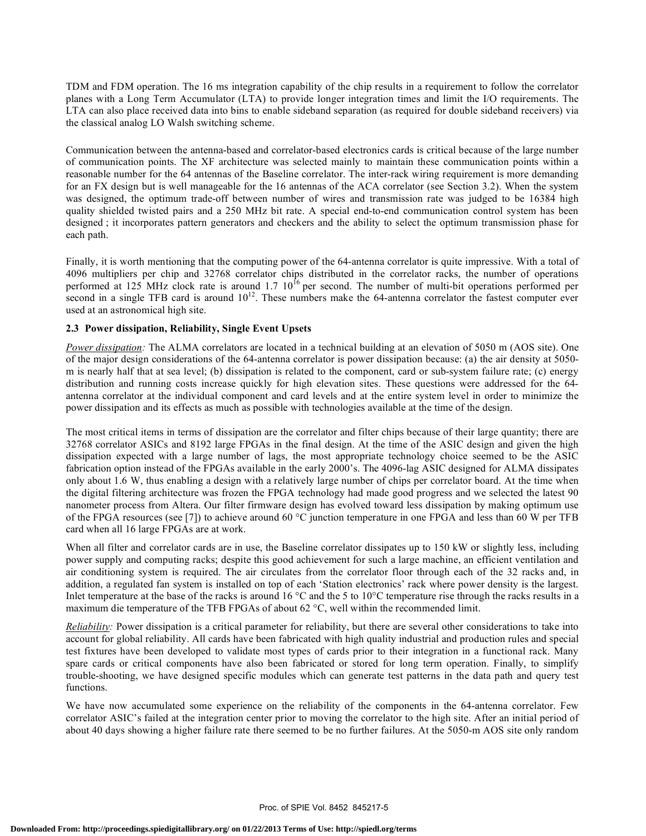TDM and FDM operation. The 16 ms integration capability of the chip results in a requirement to follow the correlator planes with a Long Term Accumulator (LTA) to provide longer integration times and limit the I/O requirements. The LTA can also place received data into bins to enable sideband separation (as required for double sideband receivers) via the classical analog LO Walsh switching scheme.

Communication between the antenna-based and correlator-based electronics cards is critical because of the large number of communication points. The XF architecture was selected mainly to maintain these communication points within a reasonable number for the 64 antennas of the Baseline correlator. The inter-rack wiring requirement is more demanding for an FX design but is well manageable for the 16 antennas of the ACA correlator (see Section 3.2). When the system was designed, the optimum trade-off between number of wires and transmission rate was judged to be 16384 high quality shielded twisted pairs and a 250 MHz bit rate. A special end-to-end communication control system has been designed ; it incorporates pattern generators and checkers and the ability to select the optimum transmission phase for each path.

Finally, it is worth mentioning that the computing power of the 64-antenna correlator is quite impressive. With a total of 4096 multipliers per chip and 32768 correlator chips distributed in the correlator racks, the number of operations performed at 125 MHz clock rate is around 1.7  $10^{16}$  per second. The number of multi-bit operations performed per second in a single TFB card is around  $10^{12}$ . These numbers make the 64-antenna correlator the fastest computer ever used at an astronomical high site.

### **2.3 Power dissipation, Reliability, Single Event Upsets**

*Power dissipation:* The ALMA correlators are located in a technical building at an elevation of 5050 m (AOS site). One of the major design considerations of the 64-antenna correlator is power dissipation because: (a) the air density at 5050 m is nearly half that at sea level; (b) dissipation is related to the component, card or sub-system failure rate; (c) energy distribution and running costs increase quickly for high elevation sites. These questions were addressed for the 64 antenna correlator at the individual component and card levels and at the entire system level in order to minimize the power dissipation and its effects as much as possible with technologies available at the time of the design.

The most critical items in terms of dissipation are the correlator and filter chips because of their large quantity; there are 32768 correlator ASICs and 8192 large FPGAs in the final design. At the time of the ASIC design and given the high dissipation expected with a large number of lags, the most appropriate technology choice seemed to be the ASIC fabrication option instead of the FPGAs available in the early 2000's. The 4096-lag ASIC designed for ALMA dissipates only about 1.6 W, thus enabling a design with a relatively large number of chips per correlator board. At the time when the digital filtering architecture was frozen the FPGA technology had made good progress and we selected the latest 90 nanometer process from Altera. Our filter firmware design has evolved toward less dissipation by making optimum use of the FPGA resources (see [7]) to achieve around 60 °C junction temperature in one FPGA and less than 60 W per TFB card when all 16 large FPGAs are at work.

When all filter and correlator cards are in use, the Baseline correlator dissipates up to 150 kW or slightly less, including power supply and computing racks; despite this good achievement for such a large machine, an efficient ventilation and air conditioning system is required. The air circulates from the correlator floor through each of the 32 racks and, in addition, a regulated fan system is installed on top of each 'Station electronics' rack where power density is the largest. Inlet temperature at the base of the racks is around  $16^{\circ}$ C and the 5 to  $10^{\circ}$ C temperature rise through the racks results in a maximum die temperature of the TFB FPGAs of about 62 °C, well within the recommended limit.

*Reliability:* Power dissipation is a critical parameter for reliability, but there are several other considerations to take into account for global reliability. All cards have been fabricated with high quality industrial and production rules and special test fixtures have been developed to validate most types of cards prior to their integration in a functional rack. Many spare cards or critical components have also been fabricated or stored for long term operation. Finally, to simplify trouble-shooting, we have designed specific modules which can generate test patterns in the data path and query test functions.

We have now accumulated some experience on the reliability of the components in the 64-antenna correlator. Few correlator ASIC's failed at the integration center prior to moving the correlator to the high site. After an initial period of about 40 days showing a higher failure rate there seemed to be no further failures. At the 5050-m AOS site only random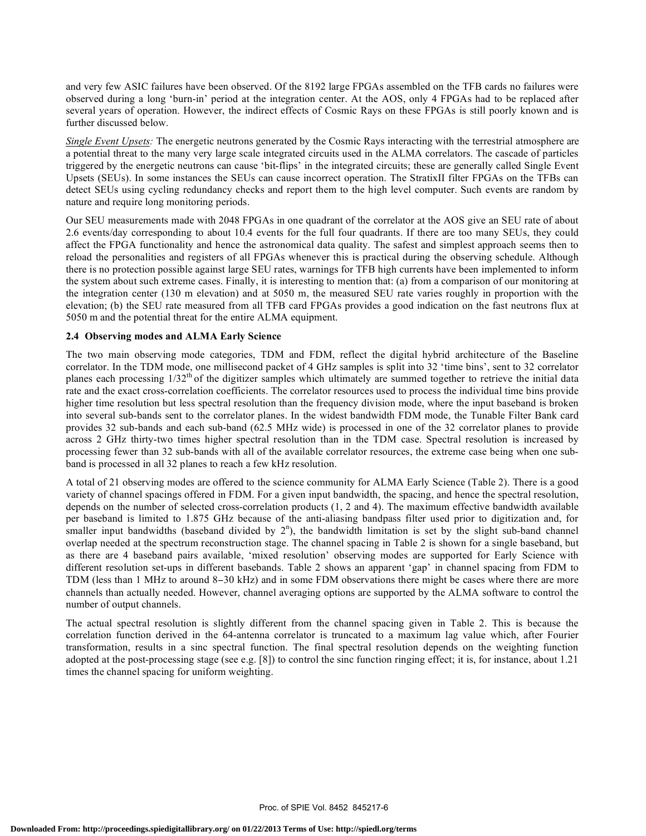and very few ASIC failures have been observed. Of the 8192 large FPGAs assembled on the TFB cards no failures were observed during a long 'burn-in' period at the integration center. At the AOS, only 4 FPGAs had to be replaced after several years of operation. However, the indirect effects of Cosmic Rays on these FPGAs is still poorly known and is further discussed below.

*Single Event Upsets:* The energetic neutrons generated by the Cosmic Rays interacting with the terrestrial atmosphere are a potential threat to the many very large scale integrated circuits used in the ALMA correlators. The cascade of particles triggered by the energetic neutrons can cause 'bit-flips' in the integrated circuits; these are generally called Single Event Upsets (SEUs). In some instances the SEUs can cause incorrect operation. The StratixII filter FPGAs on the TFBs can detect SEUs using cycling redundancy checks and report them to the high level computer. Such events are random by nature and require long monitoring periods.

Our SEU measurements made with 2048 FPGAs in one quadrant of the correlator at the AOS give an SEU rate of about 2.6 events/day corresponding to about 10.4 events for the full four quadrants. If there are too many SEUs, they could affect the FPGA functionality and hence the astronomical data quality. The safest and simplest approach seems then to reload the personalities and registers of all FPGAs whenever this is practical during the observing schedule. Although there is no protection possible against large SEU rates, warnings for TFB high currents have been implemented to inform the system about such extreme cases. Finally, it is interesting to mention that: (a) from a comparison of our monitoring at the integration center (130 m elevation) and at 5050 m, the measured SEU rate varies roughly in proportion with the elevation; (b) the SEU rate measured from all TFB card FPGAs provides a good indication on the fast neutrons flux at 5050 m and the potential threat for the entire ALMA equipment.

### **2.4 Observing modes and ALMA Early Science**

The two main observing mode categories, TDM and FDM, reflect the digital hybrid architecture of the Baseline correlator. In the TDM mode, one millisecond packet of 4 GHz samples is split into 32 'time bins', sent to 32 correlator planes each processing  $1/32<sup>th</sup>$  of the digitizer samples which ultimately are summed together to retrieve the initial data rate and the exact cross-correlation coefficients. The correlator resources used to process the individual time bins provide higher time resolution but less spectral resolution than the frequency division mode, where the input baseband is broken into several sub-bands sent to the correlator planes. In the widest bandwidth FDM mode, the Tunable Filter Bank card provides 32 sub-bands and each sub-band (62.5 MHz wide) is processed in one of the 32 correlator planes to provide across 2 GHz thirty-two times higher spectral resolution than in the TDM case. Spectral resolution is increased by processing fewer than 32 sub-bands with all of the available correlator resources, the extreme case being when one subband is processed in all 32 planes to reach a few kHz resolution.

A total of 21 observing modes are offered to the science community for ALMA Early Science (Table 2). There is a good variety of channel spacings offered in FDM. For a given input bandwidth, the spacing, and hence the spectral resolution, depends on the number of selected cross-correlation products (1, 2 and 4). The maximum effective bandwidth available per baseband is limited to 1.875 GHz because of the anti-aliasing bandpass filter used prior to digitization and, for smaller input bandwidths (baseband divided by  $2<sup>n</sup>$ ), the bandwidth limitation is set by the slight sub-band channel overlap needed at the spectrum reconstruction stage. The channel spacing in Table 2 is shown for a single baseband, but as there are 4 baseband pairs available, 'mixed resolution' observing modes are supported for Early Science with different resolution set-ups in different basebands. Table 2 shows an apparent 'gap' in channel spacing from FDM to TDM (less than 1 MHz to around 8−30 kHz) and in some FDM observations there might be cases where there are more channels than actually needed. However, channel averaging options are supported by the ALMA software to control the number of output channels.

The actual spectral resolution is slightly different from the channel spacing given in Table 2. This is because the correlation function derived in the 64-antenna correlator is truncated to a maximum lag value which, after Fourier transformation, results in a sinc spectral function. The final spectral resolution depends on the weighting function adopted at the post-processing stage (see e.g. [8]) to control the sinc function ringing effect; it is, for instance, about 1.21 times the channel spacing for uniform weighting.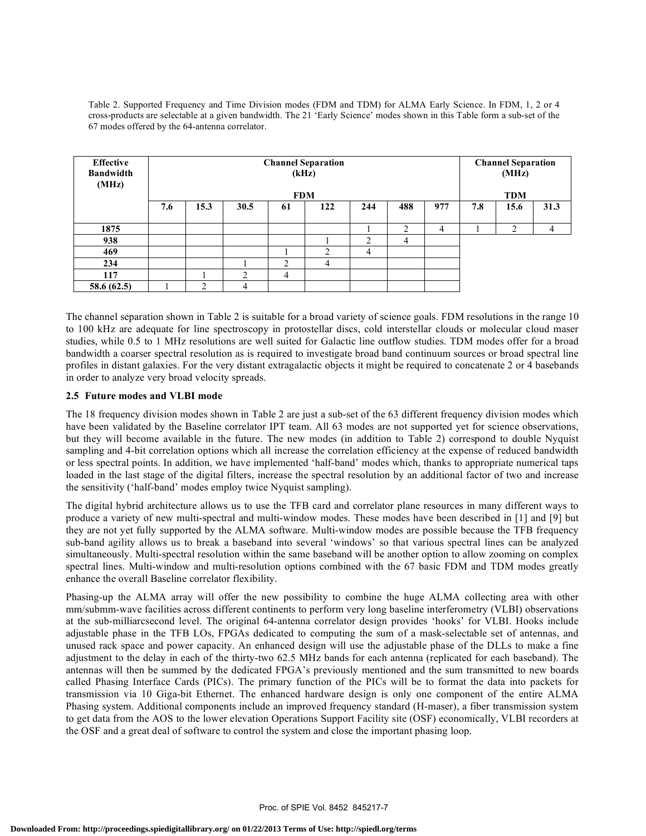Table 2. Supported Frequency and Time Division modes (FDM and TDM) for ALMA Early Science. In FDM, 1, 2 or 4 cross-products are selectable at a given bandwidth. The 21 'Early Science' modes shown in this Table form a sub-set of the 67 modes offered by the 64-antenna correlator.

| <b>Effective</b><br><b>Bandwidth</b><br>(MHz) | <b>Channel Separation</b><br>(kHz)<br><b>FDM</b> |      |              |    |               |                | <b>Channel Separation</b><br>(MHz)<br><b>TDM</b> |     |     |                |                |
|-----------------------------------------------|--------------------------------------------------|------|--------------|----|---------------|----------------|--------------------------------------------------|-----|-----|----------------|----------------|
|                                               | 7.6                                              | 15.3 | 30.5         | 61 | 122           | 244            | 488                                              | 977 | 7.8 | 15.6           | 31.3           |
| 1875                                          |                                                  |      |              |    |               |                | 2                                                | 4   |     | $\overline{c}$ | $\overline{4}$ |
| 938                                           |                                                  |      |              |    |               | 2              | 4                                                |     |     |                |                |
| 469                                           |                                                  |      |              |    | $\mathcal{L}$ | $\overline{4}$ |                                                  |     |     |                |                |
| 234                                           |                                                  |      |              | ↑  | 4             |                |                                                  |     |     |                |                |
| 117                                           |                                                  |      | <sup>1</sup> | 4  |               |                |                                                  |     |     |                |                |
| 58.6 (62.5)                                   |                                                  | ◠    | 4            |    |               |                |                                                  |     |     |                |                |

The channel separation shown in Table 2 is suitable for a broad variety of science goals. FDM resolutions in the range 10 to 100 kHz are adequate for line spectroscopy in protostellar discs, cold interstellar clouds or molecular cloud maser studies, while 0.5 to 1 MHz resolutions are well suited for Galactic line outflow studies. TDM modes offer for a broad bandwidth a coarser spectral resolution as is required to investigate broad band continuum sources or broad spectral line profiles in distant galaxies. For the very distant extragalactic objects it might be required to concatenate 2 or 4 basebands in order to analyze very broad velocity spreads.

### **2.5 Future modes and VLBI mode**

The 18 frequency division modes shown in Table 2 are just a sub-set of the 63 different frequency division modes which have been validated by the Baseline correlator IPT team. All 63 modes are not supported yet for science observations, but they will become available in the future. The new modes (in addition to Table 2) correspond to double Nyquist sampling and 4-bit correlation options which all increase the correlation efficiency at the expense of reduced bandwidth or less spectral points. In addition, we have implemented 'half-band' modes which, thanks to appropriate numerical taps loaded in the last stage of the digital filters, increase the spectral resolution by an additional factor of two and increase the sensitivity ('half-band' modes employ twice Nyquist sampling).

The digital hybrid architecture allows us to use the TFB card and correlator plane resources in many different ways to produce a variety of new multi-spectral and multi-window modes. These modes have been described in [1] and [9] but they are not yet fully supported by the ALMA software. Multi-window modes are possible because the TFB frequency sub-band agility allows us to break a baseband into several 'windows' so that various spectral lines can be analyzed simultaneously. Multi-spectral resolution within the same baseband will be another option to allow zooming on complex spectral lines. Multi-window and multi-resolution options combined with the 67 basic FDM and TDM modes greatly enhance the overall Baseline correlator flexibility.

Phasing-up the ALMA array will offer the new possibility to combine the huge ALMA collecting area with other mm/submm-wave facilities across different continents to perform very long baseline interferometry (VLBI) observations at the sub-milliarcsecond level. The original 64-antenna correlator design provides 'hooks' for VLBI. Hooks include adjustable phase in the TFB LOs, FPGAs dedicated to computing the sum of a mask-selectable set of antennas, and unused rack space and power capacity. An enhanced design will use the adjustable phase of the DLLs to make a fine adjustment to the delay in each of the thirty-two 62.5 MHz bands for each antenna (replicated for each baseband). The antennas will then be summed by the dedicated FPGA's previously mentioned and the sum transmitted to new boards called Phasing Interface Cards (PICs). The primary function of the PICs will be to format the data into packets for transmission via 10 Giga-bit Ethernet. The enhanced hardware design is only one component of the entire ALMA Phasing system. Additional components include an improved frequency standard (H-maser), a fiber transmission system to get data from the AOS to the lower elevation Operations Support Facility site (OSF) economically, VLBI recorders at the OSF and a great deal of software to control the system and close the important phasing loop.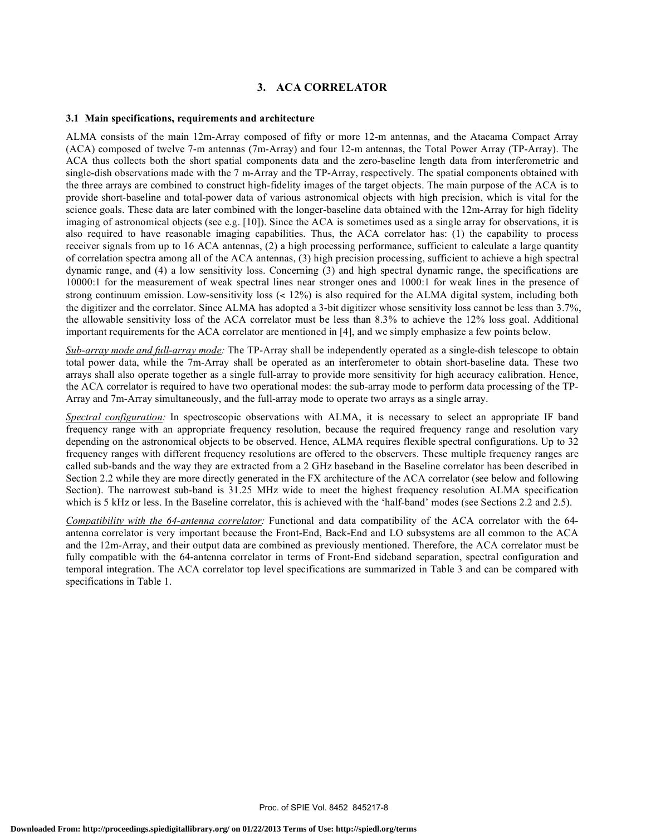# **3. ACA CORRELATOR**

#### **3.1 Main specifications, requirements and architecture**

ALMA consists of the main 12m-Array composed of fifty or more 12-m antennas, and the Atacama Compact Array (ACA) composed of twelve 7-m antennas (7m-Array) and four 12-m antennas, the Total Power Array (TP-Array). The ACA thus collects both the short spatial components data and the zero-baseline length data from interferometric and single-dish observations made with the 7 m-Array and the TP-Array, respectively. The spatial components obtained with the three arrays are combined to construct high-fidelity images of the target objects. The main purpose of the ACA is to provide short-baseline and total-power data of various astronomical objects with high precision, which is vital for the science goals. These data are later combined with the longer-baseline data obtained with the 12m-Array for high fidelity imaging of astronomical objects (see e.g. [10]). Since the ACA is sometimes used as a single array for observations, it is also required to have reasonable imaging capabilities. Thus, the ACA correlator has: (1) the capability to process receiver signals from up to 16 ACA antennas, (2) a high processing performance, sufficient to calculate a large quantity of correlation spectra among all of the ACA antennas, (3) high precision processing, sufficient to achieve a high spectral dynamic range, and (4) a low sensitivity loss. Concerning (3) and high spectral dynamic range, the specifications are 10000:1 for the measurement of weak spectral lines near stronger ones and 1000:1 for weak lines in the presence of strong continuum emission. Low-sensitivity loss (< 12%) is also required for the ALMA digital system, including both the digitizer and the correlator. Since ALMA has adopted a 3-bit digitizer whose sensitivity loss cannot be less than 3.7%, the allowable sensitivity loss of the ACA correlator must be less than 8.3% to achieve the 12% loss goal. Additional important requirements for the ACA correlator are mentioned in [4], and we simply emphasize a few points below.

*Sub-array mode and full-array mode:* The TP-Array shall be independently operated as a single-dish telescope to obtain total power data, while the 7m-Array shall be operated as an interferometer to obtain short-baseline data. These two arrays shall also operate together as a single full-array to provide more sensitivity for high accuracy calibration. Hence, the ACA correlator is required to have two operational modes: the sub-array mode to perform data processing of the TP-Array and 7m-Array simultaneously, and the full-array mode to operate two arrays as a single array.

*Spectral configuration:* In spectroscopic observations with ALMA, it is necessary to select an appropriate IF band frequency range with an appropriate frequency resolution, because the required frequency range and resolution vary depending on the astronomical objects to be observed. Hence, ALMA requires flexible spectral configurations. Up to 32 frequency ranges with different frequency resolutions are offered to the observers. These multiple frequency ranges are called sub-bands and the way they are extracted from a 2 GHz baseband in the Baseline correlator has been described in Section 2.2 while they are more directly generated in the FX architecture of the ACA correlator (see below and following Section). The narrowest sub-band is 31.25 MHz wide to meet the highest frequency resolution ALMA specification which is 5 kHz or less. In the Baseline correlator, this is achieved with the 'half-band' modes (see Sections 2.2 and 2.5).

*Compatibility with the 64-antenna correlator:* Functional and data compatibility of the ACA correlator with the 64 antenna correlator is very important because the Front-End, Back-End and LO subsystems are all common to the ACA and the 12m-Array, and their output data are combined as previously mentioned. Therefore, the ACA correlator must be fully compatible with the 64-antenna correlator in terms of Front-End sideband separation, spectral configuration and temporal integration. The ACA correlator top level specifications are summarized in Table 3 and can be compared with specifications in Table 1.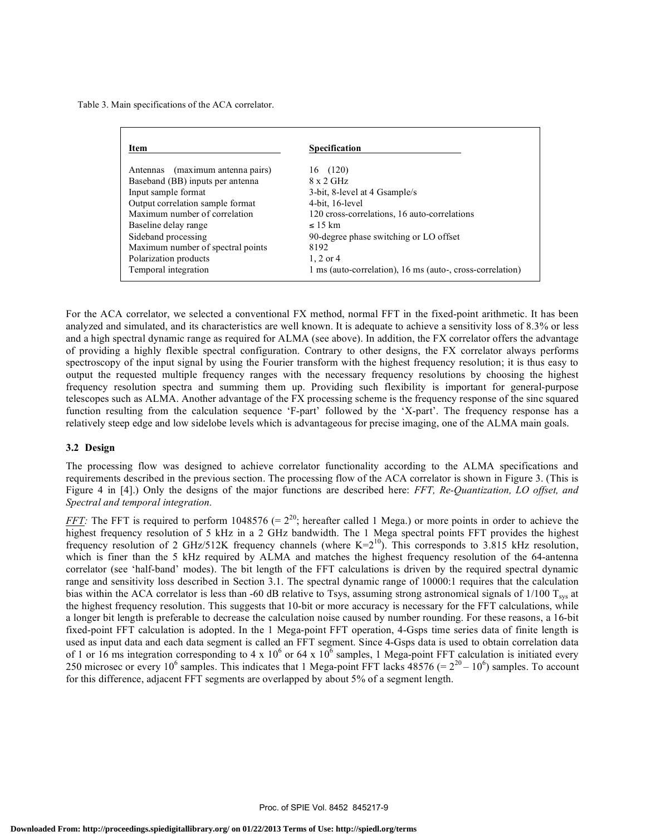Table 3. Main specifications of the ACA correlator.

| Item                                | <b>Specification</b>                                      |  |  |  |  |  |
|-------------------------------------|-----------------------------------------------------------|--|--|--|--|--|
| (maximum antenna pairs)<br>Antennas | (120)<br>16                                               |  |  |  |  |  |
| Baseband (BB) inputs per antenna    | $8 \times 2$ GHz                                          |  |  |  |  |  |
| Input sample format                 | 3-bit, 8-level at 4 Gsample/s                             |  |  |  |  |  |
| Output correlation sample format    | 4-bit, 16-level                                           |  |  |  |  |  |
| Maximum number of correlation       | 120 cross-correlations, 16 auto-correlations              |  |  |  |  |  |
| Baseline delay range                | $\leq 15$ km                                              |  |  |  |  |  |
| Sideband processing                 | 90-degree phase switching or LO offset                    |  |  |  |  |  |
| Maximum number of spectral points   | 8192                                                      |  |  |  |  |  |
| Polarization products               | $1, 2$ or 4                                               |  |  |  |  |  |
| Temporal integration                | 1 ms (auto-correlation), 16 ms (auto-, cross-correlation) |  |  |  |  |  |

For the ACA correlator, we selected a conventional FX method, normal FFT in the fixed-point arithmetic. It has been analyzed and simulated, and its characteristics are well known. It is adequate to achieve a sensitivity loss of 8.3% or less and a high spectral dynamic range as required for ALMA (see above). In addition, the FX correlator offers the advantage of providing a highly flexible spectral configuration. Contrary to other designs, the FX correlator always performs spectroscopy of the input signal by using the Fourier transform with the highest frequency resolution; it is thus easy to output the requested multiple frequency ranges with the necessary frequency resolutions by choosing the highest frequency resolution spectra and summing them up. Providing such flexibility is important for general-purpose telescopes such as ALMA. Another advantage of the FX processing scheme is the frequency response of the sinc squared function resulting from the calculation sequence 'F-part' followed by the 'X-part'. The frequency response has a relatively steep edge and low sidelobe levels which is advantageous for precise imaging, one of the ALMA main goals.

#### **3.2 Design**

The processing flow was designed to achieve correlator functionality according to the ALMA specifications and requirements described in the previous section. The processing flow of the ACA correlator is shown in Figure 3. (This is Figure 4 in [4].) Only the designs of the major functions are described here: *FFT, Re-Quantization, LO offset, and Spectral and temporal integration.*

*FFT:* The FFT is required to perform 1048576 (=  $2^{20}$ ; hereafter called 1 Mega.) or more points in order to achieve the highest frequency resolution of 5 kHz in a 2 GHz bandwidth. The 1 Mega spectral points FFT provides the highest frequency resolution of 2 GHz/512K frequency channels (where  $K=2^{10}$ ). This corresponds to 3.815 kHz resolution, which is finer than the 5 kHz required by ALMA and matches the highest frequency resolution of the 64-antenna correlator (see 'half-band' modes). The bit length of the FFT calculations is driven by the required spectral dynamic range and sensitivity loss described in Section 3.1. The spectral dynamic range of 10000:1 requires that the calculation bias within the ACA correlator is less than -60 dB relative to Tsys, assuming strong astronomical signals of  $1/100$  T<sub>sys</sub> at the highest frequency resolution. This suggests that 10-bit or more accuracy is necessary for the FFT calculations, while a longer bit length is preferable to decrease the calculation noise caused by number rounding. For these reasons, a 16-bit fixed-point FFT calculation is adopted. In the 1 Mega-point FFT operation, 4-Gsps time series data of finite length is used as input data and each data segment is called an FFT segment. Since 4-Gsps data is used to obtain correlation data of 1 or 16 ms integration corresponding to 4 x  $10^6$  or 64 x  $10^6$  samples, 1 Mega-point FFT calculation is initiated every 250 microsec or every 10<sup>6</sup> samples. This indicates that 1 Mega-point FFT lacks  $\frac{48576}{5} = 2^{20} - 10^6$ ) samples. To account for this difference, adjacent FFT segments are overlapped by about 5% of a segment length.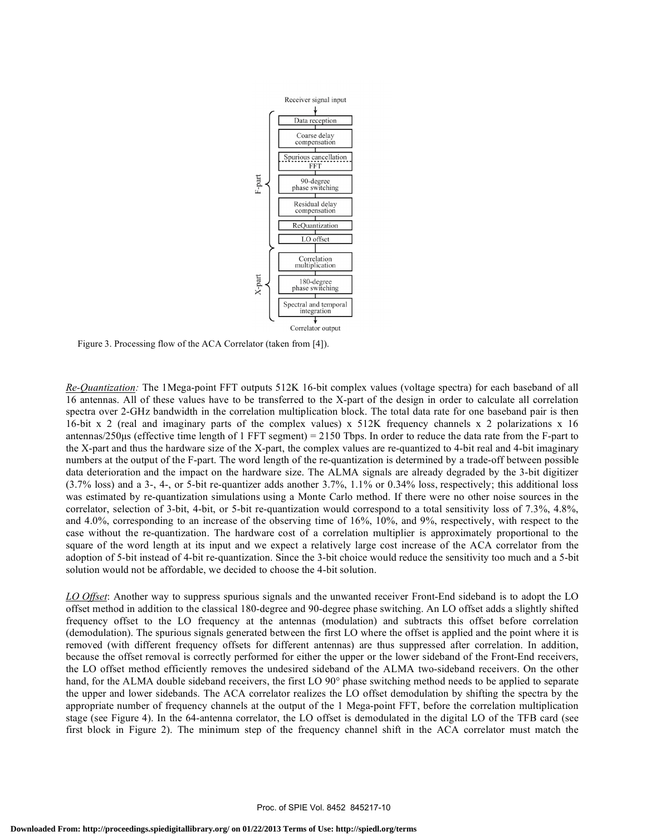

Figure 3. Processing flow of the ACA Correlator (taken from [4]).

*Re-Quantization:* The 1Mega-point FFT outputs 512K 16-bit complex values (voltage spectra) for each baseband of all 16 antennas. All of these values have to be transferred to the X-part of the design in order to calculate all correlation spectra over 2-GHz bandwidth in the correlation multiplication block. The total data rate for one baseband pair is then 16-bit x 2 (real and imaginary parts of the complex values) x 512K frequency channels x 2 polarizations x 16 antennas/250µs (effective time length of 1 FFT segment) = 2150 Tbps. In order to reduce the data rate from the F-part to the X-part and thus the hardware size of the X-part, the complex values are re-quantized to 4-bit real and 4-bit imaginary numbers at the output of the F-part. The word length of the re-quantization is determined by a trade-off between possible data deterioration and the impact on the hardware size. The ALMA signals are already degraded by the 3-bit digitizer (3.7% loss) and a 3-, 4-, or 5-bit re-quantizer adds another 3.7%, 1.1% or 0.34% loss, respectively; this additional loss was estimated by re-quantization simulations using a Monte Carlo method. If there were no other noise sources in the correlator, selection of 3-bit, 4-bit, or 5-bit re-quantization would correspond to a total sensitivity loss of 7.3%, 4.8%, and 4.0%, corresponding to an increase of the observing time of 16%, 10%, and 9%, respectively, with respect to the case without the re-quantization. The hardware cost of a correlation multiplier is approximately proportional to the square of the word length at its input and we expect a relatively large cost increase of the ACA correlator from the adoption of 5-bit instead of 4-bit re-quantization. Since the 3-bit choice would reduce the sensitivity too much and a 5-bit solution would not be affordable, we decided to choose the 4-bit solution.

*LO Offset*: Another way to suppress spurious signals and the unwanted receiver Front-End sideband is to adopt the LO offset method in addition to the classical 180-degree and 90-degree phase switching. An LO offset adds a slightly shifted frequency offset to the LO frequency at the antennas (modulation) and subtracts this offset before correlation (demodulation). The spurious signals generated between the first LO where the offset is applied and the point where it is removed (with different frequency offsets for different antennas) are thus suppressed after correlation. In addition, because the offset removal is correctly performed for either the upper or the lower sideband of the Front-End receivers, the LO offset method efficiently removes the undesired sideband of the ALMA two-sideband receivers. On the other hand, for the ALMA double sideband receivers, the first LO 90° phase switching method needs to be applied to separate the upper and lower sidebands. The ACA correlator realizes the LO offset demodulation by shifting the spectra by the appropriate number of frequency channels at the output of the 1 Mega-point FFT, before the correlation multiplication stage (see Figure 4). In the 64-antenna correlator, the LO offset is demodulated in the digital LO of the TFB card (see first block in Figure 2). The minimum step of the frequency channel shift in the ACA correlator must match the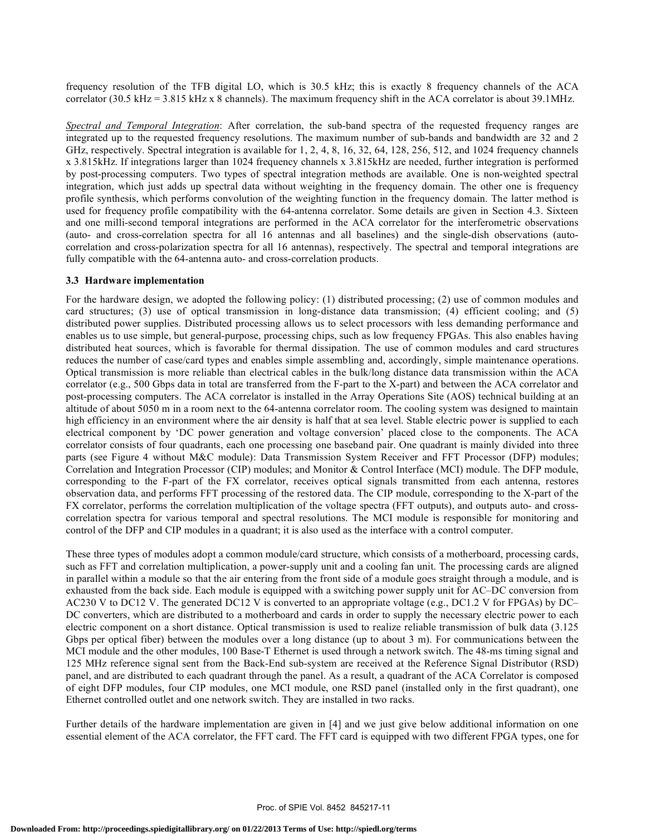frequency resolution of the TFB digital LO, which is 30.5 kHz; this is exactly 8 frequency channels of the ACA correlator (30.5 kHz = 3.815 kHz x 8 channels). The maximum frequency shift in the ACA correlator is about 39.1MHz.

*Spectral and Temporal Integration*: After correlation, the sub-band spectra of the requested frequency ranges are integrated up to the requested frequency resolutions. The maximum number of sub-bands and bandwidth are 32 and 2 GHz, respectively. Spectral integration is available for 1, 2, 4, 8, 16, 32, 64, 128, 256, 512, and 1024 frequency channels x 3.815kHz. If integrations larger than 1024 frequency channels x 3.815kHz are needed, further integration is performed by post-processing computers. Two types of spectral integration methods are available. One is non-weighted spectral integration, which just adds up spectral data without weighting in the frequency domain. The other one is frequency profile synthesis, which performs convolution of the weighting function in the frequency domain. The latter method is used for frequency profile compatibility with the 64-antenna correlator. Some details are given in Section 4.3. Sixteen and one milli-second temporal integrations are performed in the ACA correlator for the interferometric observations (auto- and cross-correlation spectra for all 16 antennas and all baselines) and the single-dish observations (autocorrelation and cross-polarization spectra for all 16 antennas), respectively. The spectral and temporal integrations are fully compatible with the 64-antenna auto- and cross-correlation products.

#### **3.3 Hardware implementation**

For the hardware design, we adopted the following policy: (1) distributed processing; (2) use of common modules and card structures; (3) use of optical transmission in long-distance data transmission; (4) efficient cooling; and (5) distributed power supplies. Distributed processing allows us to select processors with less demanding performance and enables us to use simple, but general-purpose, processing chips, such as low frequency FPGAs. This also enables having distributed heat sources, which is favorable for thermal dissipation. The use of common modules and card structures reduces the number of case/card types and enables simple assembling and, accordingly, simple maintenance operations. Optical transmission is more reliable than electrical cables in the bulk/long distance data transmission within the ACA correlator (e.g., 500 Gbps data in total are transferred from the F-part to the X-part) and between the ACA correlator and post-processing computers. The ACA correlator is installed in the Array Operations Site (AOS) technical building at an altitude of about 5050 m in a room next to the 64-antenna correlator room. The cooling system was designed to maintain high efficiency in an environment where the air density is half that at sea level. Stable electric power is supplied to each electrical component by 'DC power generation and voltage conversion' placed close to the components. The ACA correlator consists of four quadrants, each one processing one baseband pair. One quadrant is mainly divided into three parts (see Figure 4 without M&C module): Data Transmission System Receiver and FFT Processor (DFP) modules; Correlation and Integration Processor (CIP) modules; and Monitor & Control Interface (MCI) module. The DFP module, corresponding to the F-part of the FX correlator, receives optical signals transmitted from each antenna, restores observation data, and performs FFT processing of the restored data. The CIP module, corresponding to the X-part of the FX correlator, performs the correlation multiplication of the voltage spectra (FFT outputs), and outputs auto- and crosscorrelation spectra for various temporal and spectral resolutions. The MCI module is responsible for monitoring and control of the DFP and CIP modules in a quadrant; it is also used as the interface with a control computer.

These three types of modules adopt a common module/card structure, which consists of a motherboard, processing cards, such as FFT and correlation multiplication, a power-supply unit and a cooling fan unit. The processing cards are aligned in parallel within a module so that the air entering from the front side of a module goes straight through a module, and is exhausted from the back side. Each module is equipped with a switching power supply unit for AC–DC conversion from AC230 V to DC12 V. The generated DC12 V is converted to an appropriate voltage (e.g., DC1.2 V for FPGAs) by DC– DC converters, which are distributed to a motherboard and cards in order to supply the necessary electric power to each electric component on a short distance. Optical transmission is used to realize reliable transmission of bulk data (3.125 Gbps per optical fiber) between the modules over a long distance (up to about 3 m). For communications between the MCI module and the other modules, 100 Base-T Ethernet is used through a network switch. The 48-ms timing signal and 125 MHz reference signal sent from the Back-End sub-system are received at the Reference Signal Distributor (RSD) panel, and are distributed to each quadrant through the panel. As a result, a quadrant of the ACA Correlator is composed of eight DFP modules, four CIP modules, one MCI module, one RSD panel (installed only in the first quadrant), one Ethernet controlled outlet and one network switch. They are installed in two racks.

Further details of the hardware implementation are given in [4] and we just give below additional information on one essential element of the ACA correlator, the FFT card. The FFT card is equipped with two different FPGA types, one for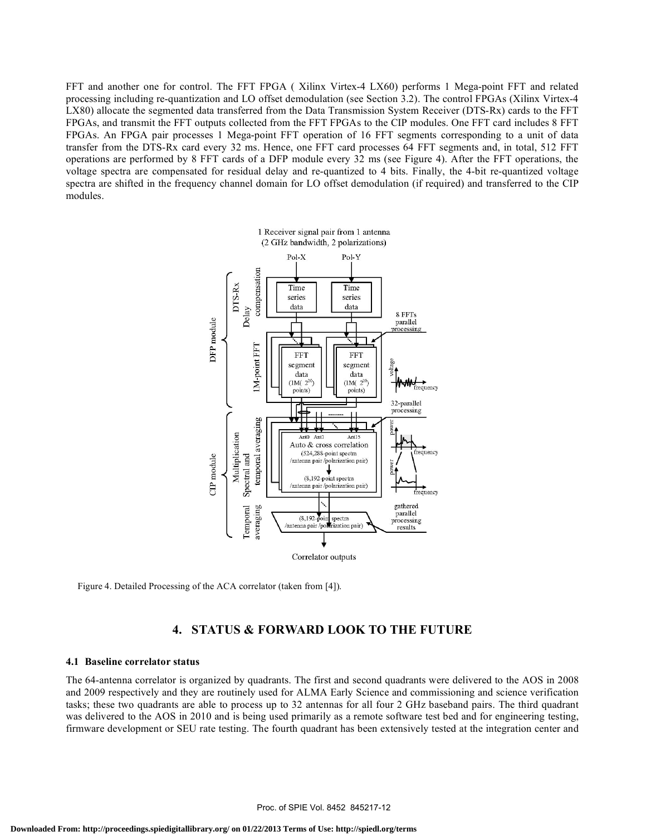FFT and another one for control. The FFT FPGA ( Xilinx Virtex-4 LX60) performs 1 Mega-point FFT and related processing including re-quantization and LO offset demodulation (see Section 3.2). The control FPGAs (Xilinx Virtex-4 LX80) allocate the segmented data transferred from the Data Transmission System Receiver (DTS-Rx) cards to the FFT FPGAs, and transmit the FFT outputs collected from the FFT FPGAs to the CIP modules. One FFT card includes 8 FFT FPGAs. An FPGA pair processes 1 Mega-point FFT operation of 16 FFT segments corresponding to a unit of data transfer from the DTS-Rx card every 32 ms. Hence, one FFT card processes 64 FFT segments and, in total, 512 FFT operations are performed by 8 FFT cards of a DFP module every 32 ms (see Figure 4). After the FFT operations, the voltage spectra are compensated for residual delay and re-quantized to 4 bits. Finally, the 4-bit re-quantized voltage spectra are shifted in the frequency channel domain for LO offset demodulation (if required) and transferred to the CIP modules.



Figure 4. Detailed Processing of the ACA correlator (taken from [4]).

# **4. STATUS & FORWARD LOOK TO THE FUTURE**

#### **4.1 Baseline correlator status**

The 64-antenna correlator is organized by quadrants. The first and second quadrants were delivered to the AOS in 2008 and 2009 respectively and they are routinely used for ALMA Early Science and commissioning and science verification tasks; these two quadrants are able to process up to 32 antennas for all four 2 GHz baseband pairs. The third quadrant was delivered to the AOS in 2010 and is being used primarily as a remote software test bed and for engineering testing, firmware development or SEU rate testing. The fourth quadrant has been extensively tested at the integration center and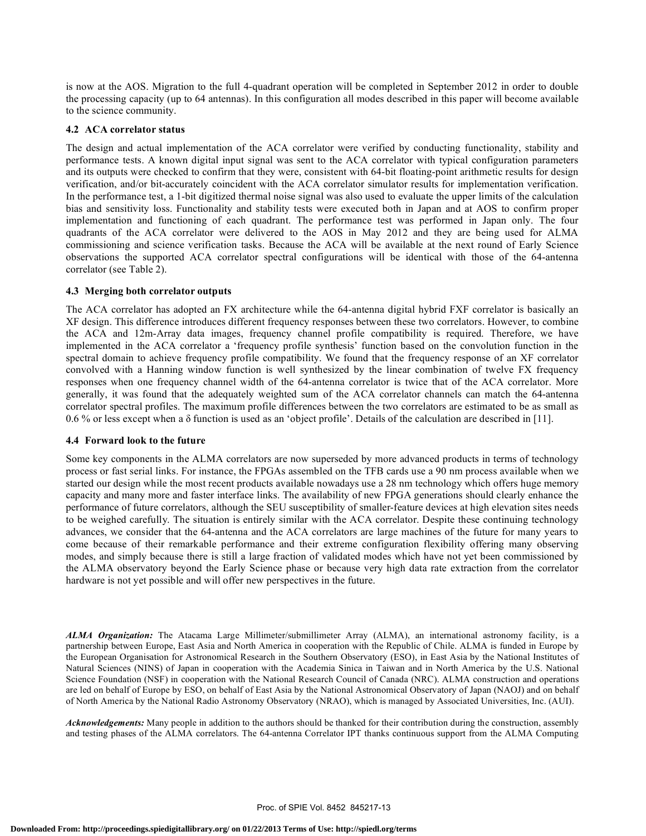is now at the AOS. Migration to the full 4-quadrant operation will be completed in September 2012 in order to double the processing capacity (up to 64 antennas). In this configuration all modes described in this paper will become available to the science community.

#### **4.2 ACA correlator status**

The design and actual implementation of the ACA correlator were verified by conducting functionality, stability and performance tests. A known digital input signal was sent to the ACA correlator with typical configuration parameters and its outputs were checked to confirm that they were, consistent with 64-bit floating-point arithmetic results for design verification, and/or bit-accurately coincident with the ACA correlator simulator results for implementation verification. In the performance test, a 1-bit digitized thermal noise signal was also used to evaluate the upper limits of the calculation bias and sensitivity loss. Functionality and stability tests were executed both in Japan and at AOS to confirm proper implementation and functioning of each quadrant. The performance test was performed in Japan only. The four quadrants of the ACA correlator were delivered to the AOS in May 2012 and they are being used for ALMA commissioning and science verification tasks. Because the ACA will be available at the next round of Early Science observations the supported ACA correlator spectral configurations will be identical with those of the 64-antenna correlator (see Table 2).

#### **4.3 Merging both correlator outputs**

The ACA correlator has adopted an FX architecture while the 64-antenna digital hybrid FXF correlator is basically an XF design. This difference introduces different frequency responses between these two correlators. However, to combine the ACA and 12m-Array data images, frequency channel profile compatibility is required. Therefore, we have implemented in the ACA correlator a 'frequency profile synthesis' function based on the convolution function in the spectral domain to achieve frequency profile compatibility. We found that the frequency response of an XF correlator convolved with a Hanning window function is well synthesized by the linear combination of twelve FX frequency responses when one frequency channel width of the 64-antenna correlator is twice that of the ACA correlator. More generally, it was found that the adequately weighted sum of the ACA correlator channels can match the 64-antenna correlator spectral profiles. The maximum profile differences between the two correlators are estimated to be as small as 0.6 % or less except when a δ function is used as an 'object profile'. Details of the calculation are described in [11].

### **4.4 Forward look to the future**

Some key components in the ALMA correlators are now superseded by more advanced products in terms of technology process or fast serial links. For instance, the FPGAs assembled on the TFB cards use a 90 nm process available when we started our design while the most recent products available nowadays use a 28 nm technology which offers huge memory capacity and many more and faster interface links. The availability of new FPGA generations should clearly enhance the performance of future correlators, although the SEU susceptibility of smaller-feature devices at high elevation sites needs to be weighed carefully. The situation is entirely similar with the ACA correlator. Despite these continuing technology advances, we consider that the 64-antenna and the ACA correlators are large machines of the future for many years to come because of their remarkable performance and their extreme configuration flexibility offering many observing modes, and simply because there is still a large fraction of validated modes which have not yet been commissioned by the ALMA observatory beyond the Early Science phase or because very high data rate extraction from the correlator hardware is not yet possible and will offer new perspectives in the future.

*ALMA Organization:* The Atacama Large Millimeter/submillimeter Array (ALMA), an international astronomy facility, is a partnership between Europe, East Asia and North America in cooperation with the Republic of Chile. ALMA is funded in Europe by the European Organisation for Astronomical Research in the Southern Observatory (ESO), in East Asia by the National Institutes of Natural Sciences (NINS) of Japan in cooperation with the Academia Sinica in Taiwan and in North America by the U.S. National Science Foundation (NSF) in cooperation with the National Research Council of Canada (NRC). ALMA construction and operations are led on behalf of Europe by ESO, on behalf of East Asia by the National Astronomical Observatory of Japan (NAOJ) and on behalf of North America by the National Radio Astronomy Observatory (NRAO), which is managed by Associated Universities, Inc. (AUI).

*Acknowledgements:* Many people in addition to the authors should be thanked for their contribution during the construction, assembly and testing phases of the ALMA correlators. The 64-antenna Correlator IPT thanks continuous support from the ALMA Computing